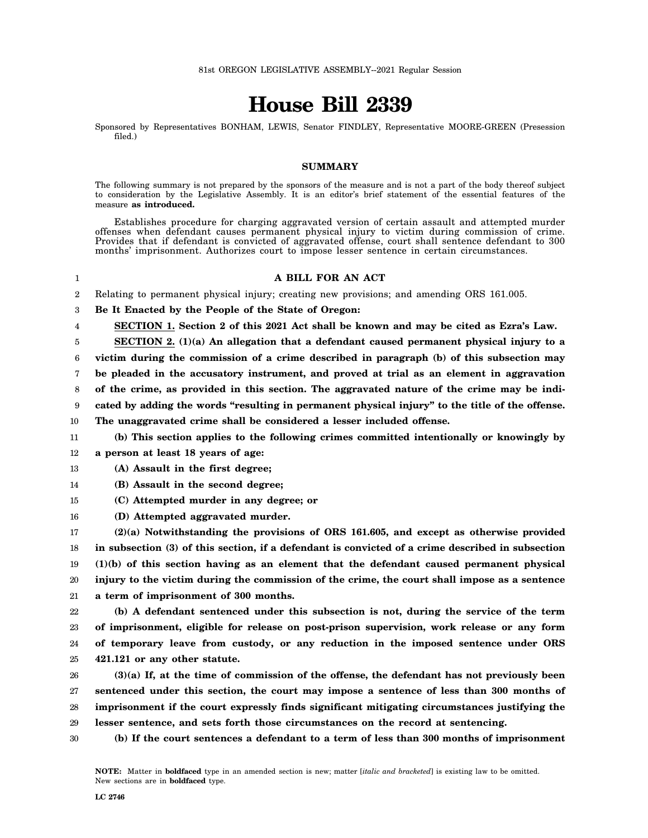## **House Bill 2339**

Sponsored by Representatives BONHAM, LEWIS, Senator FINDLEY, Representative MOORE-GREEN (Presession filed.)

## **SUMMARY**

The following summary is not prepared by the sponsors of the measure and is not a part of the body thereof subject to consideration by the Legislative Assembly. It is an editor's brief statement of the essential features of the measure **as introduced.**

Establishes procedure for charging aggravated version of certain assault and attempted murder offenses when defendant causes permanent physical injury to victim during commission of crime. Provides that if defendant is convicted of aggravated offense, court shall sentence defendant to 300 months' imprisonment. Authorizes court to impose lesser sentence in certain circumstances.

- 1 2 3 4 5 6 7 8 9 10 11 12 13 14 15 16 17 18 19 20 21 22 23 24 25 26 27 28 **A BILL FOR AN ACT** Relating to permanent physical injury; creating new provisions; and amending ORS 161.005. **Be It Enacted by the People of the State of Oregon: SECTION 1. Section 2 of this 2021 Act shall be known and may be cited as Ezra's Law. SECTION 2. (1)(a) An allegation that a defendant caused permanent physical injury to a victim during the commission of a crime described in paragraph (b) of this subsection may be pleaded in the accusatory instrument, and proved at trial as an element in aggravation of the crime, as provided in this section. The aggravated nature of the crime may be indicated by adding the words "resulting in permanent physical injury" to the title of the offense. The unaggravated crime shall be considered a lesser included offense. (b) This section applies to the following crimes committed intentionally or knowingly by a person at least 18 years of age: (A) Assault in the first degree; (B) Assault in the second degree; (C) Attempted murder in any degree; or (D) Attempted aggravated murder. (2)(a) Notwithstanding the provisions of ORS 161.605, and except as otherwise provided in subsection (3) of this section, if a defendant is convicted of a crime described in subsection (1)(b) of this section having as an element that the defendant caused permanent physical injury to the victim during the commission of the crime, the court shall impose as a sentence a term of imprisonment of 300 months. (b) A defendant sentenced under this subsection is not, during the service of the term of imprisonment, eligible for release on post-prison supervision, work release or any form of temporary leave from custody, or any reduction in the imposed sentence under ORS 421.121 or any other statute. (3)(a) If, at the time of commission of the offense, the defendant has not previously been sentenced under this section, the court may impose a sentence of less than 300 months of imprisonment if the court expressly finds significant mitigating circumstances justifying the**
- 29 **lesser sentence, and sets forth those circumstances on the record at sentencing.**
- 30 **(b) If the court sentences a defendant to a term of less than 300 months of imprisonment**